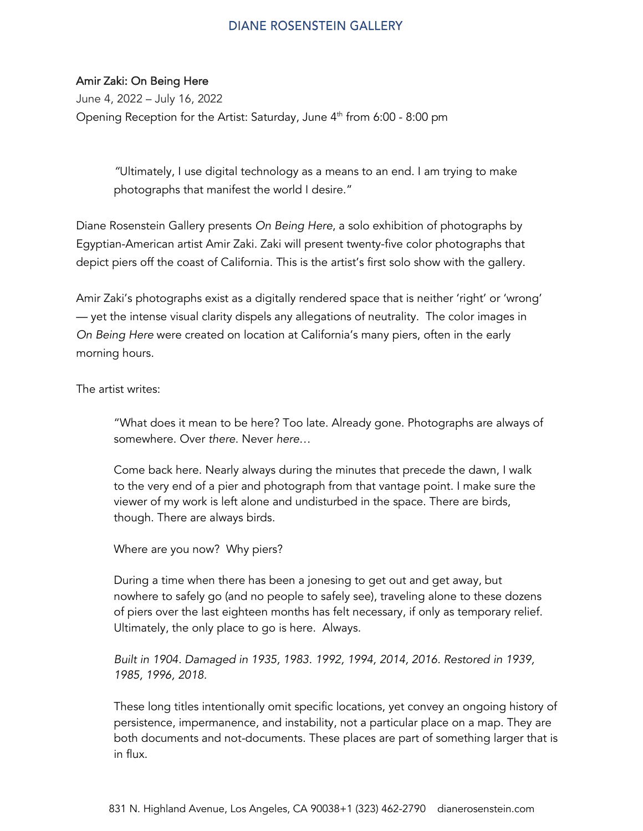## **DIANE ROSENSTEIN GALLERY**

## Amir Zaki: On Being Here

June 4, 2022 – July 16, 2022 Opening Reception for the Artist: Saturday, June  $4<sup>th</sup>$  from 6:00 - 8:00 pm

> *"*Ultimately, I use digital technology as a means to an end. I am trying to make photographs that manifest the world I desire."

Diane Rosenstein Gallery presents *On Being Here*, a solo exhibition of photographs by Egyptian-American artist Amir Zaki. Zaki will present twenty-five color photographs that depict piers off the coast of California. This is the artist's first solo show with the gallery.

Amir Zaki's photographs exist as a digitally rendered space that is neither 'right' or 'wrong' — yet the intense visual clarity dispels any allegations of neutrality. The color images in *On Being Here* were created on location at California's many piers, often in the early morning hours.

The artist writes:

"What does it mean to be here? Too late. Already gone. Photographs are always of somewhere. Over *there*. Never *here*…

Come back here. Nearly always during the minutes that precede the dawn, I walk to the very end of a pier and photograph from that vantage point. I make sure the viewer of my work is left alone and undisturbed in the space. There are birds, though. There are always birds.

Where are you now? Why piers?

During a time when there has been a jonesing to get out and get away, but nowhere to safely go (and no people to safely see), traveling alone to these dozens of piers over the last eighteen months has felt necessary, if only as temporary relief. Ultimately, the only place to go is here. Always.

*Built in 1904. Damaged in 1935, 1983. 1992, 1994, 2014, 2016. Restored in 1939, 1985, 1996, 2018.*

These long titles intentionally omit specific locations, yet convey an ongoing history of persistence, impermanence, and instability, not a particular place on a map. They are both documents and not-documents. These places are part of something larger that is in flux.